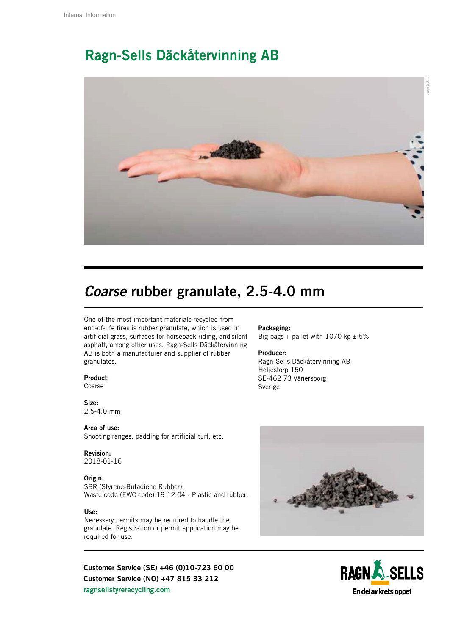## Ragn-Sells Däckåtervinning AB



## *Coarse* rubber granulate, 2.5-4.0 mm

One of the most important materials recycled from end-of-life tires is rubber granulate, which is used in artificial grass, surfaces for horseback riding, and silent asphalt, among other uses. Ragn-Sells Däckåtervinning AB is both a manufacturer and supplier of rubber granulates.

### Product:

Coarse

#### Size: 2.5-4.0 mm

Area of use: Shooting ranges, padding for artificial turf, etc.

## Revision:

2018-01-16

#### Origin:

SBR (Styrene-Butadiene Rubber). Waste code (EWC code) 19 12 04 - Plastic and rubber.

#### Use:

Necessary permits may be required to handle the granulate. Registration or permit application may be required for use.

Customer Service (SE) +46 (0)10-723 60 00 Customer Service (NO) +47 815 33 212 ragnsellstyrerecycling.com

#### Packaging: Big bags + pallet with 1070 kg  $\pm$  5%

#### Producer:

Ragn-Sells Däckåtervinning AB Heljestorp 150 SE-462 73 Vänersborg Sverige